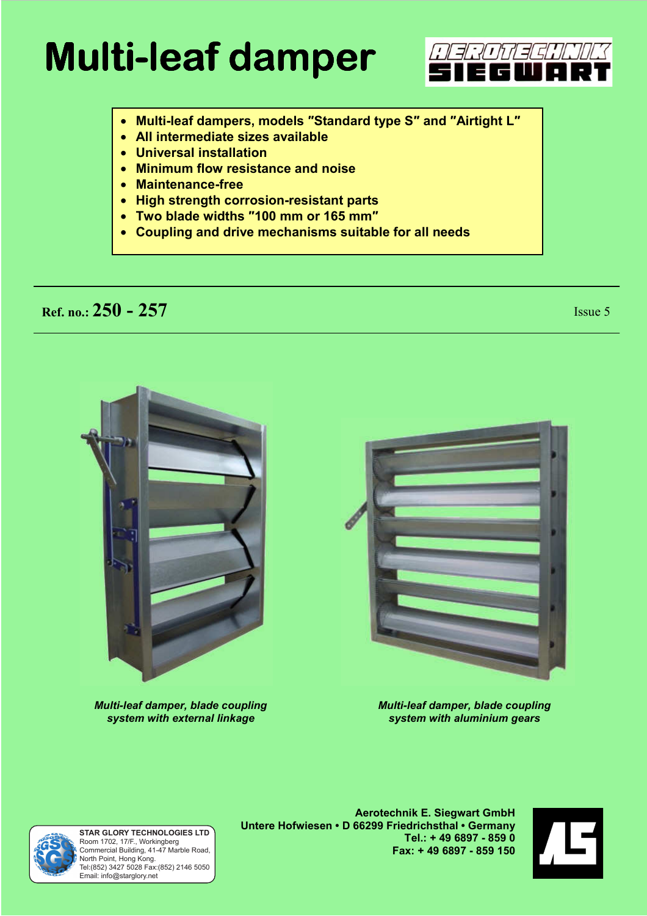# **Multi-leaf damper leaf dam**

- **Multi-leaf dampers, models ƎStandard type SƎ and ƎAirtight LƎ**
- **All intermediate sizes available**
- **Universal installation**
- **Minimum flow resistance and noise**
- **Maintenance-free**
- **High strength corrosion-resistant parts**
- **Two blade widths Ǝ100 mm or 165 mmƎ**
- **Coupling and drive mechanisms suitable for all needs**

# **Ref. no.:** 250 - 257 Issue 5

*NEROTECHNUK* zwo



*Multi-leaf damper, blade coupling system with external linkage* 



*Multi-leaf damper, blade coupling system with aluminium gears* 



Room 1702, 17/F., Workingberg Commercial Building, 41-47 Marble Road, North Point, Hong Kong. Tel:(852) 3427 5028 Fax:(852) 2146 5050 Email: info@starglory.net **STAR GLORY TECHNOLOGIES LTD**

**Aerotechnik E. Siegwart GmbH Untere Hofwiesen • D 66299 Friedrichsthal • Germany Tel.: + 49 6897 - 859 0 Fax: + 49 6897 - 859 150** 

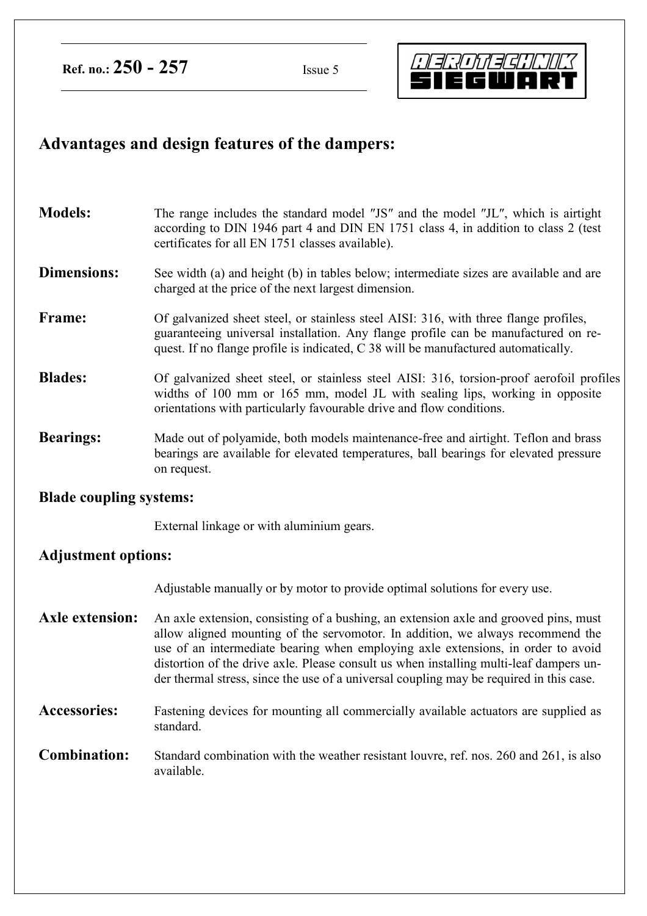**Ref. no.: 250 - 257** Issue 5



## **Advantages and design features of the dampers:**

**Models:** The range includes the standard model "JS" and the model "JL", which is airtight according to DIN 1946 part 4 and DIN EN 1751 class 4, in addition to class 2 (test certificates for all EN 1751 classes available).

#### **Dimensions:** See width (a) and height (b) in tables below; intermediate sizes are available and are charged at the price of the next largest dimension.

- **Frame:** Of galvanized sheet steel, or stainless steel AISI: 316, with three flange profiles, guaranteeing universal installation. Any flange profile can be manufactured on request. If no flange profile is indicated, C 38 will be manufactured automatically.
- **Blades:** Of galvanized sheet steel, or stainless steel AISI: 316, torsion-proof aerofoil profiles widths of 100 mm or 165 mm, model JL with sealing lips, working in opposite orientations with particularly favourable drive and flow conditions.
- **Bearings:** Made out of polyamide, both models maintenance-free and airtight. Teflon and brass bearings are available for elevated temperatures, ball bearings for elevated pressure on request.

#### **Blade coupling systems:**

External linkage or with aluminium gears.

### **Adjustment options:**

Adjustable manually or by motor to provide optimal solutions for every use.

- **Axle extension:** An axle extension, consisting of a bushing, an extension axle and grooved pins, must allow aligned mounting of the servomotor. In addition, we always recommend the use of an intermediate bearing when employing axle extensions, in order to avoid distortion of the drive axle. Please consult us when installing multi-leaf dampers under thermal stress, since the use of a universal coupling may be required in this case.
- **Accessories:** Fastening devices for mounting all commercially available actuators are supplied as standard.
- **Combination:** Standard combination with the weather resistant louvre, ref. nos. 260 and 261, is also available.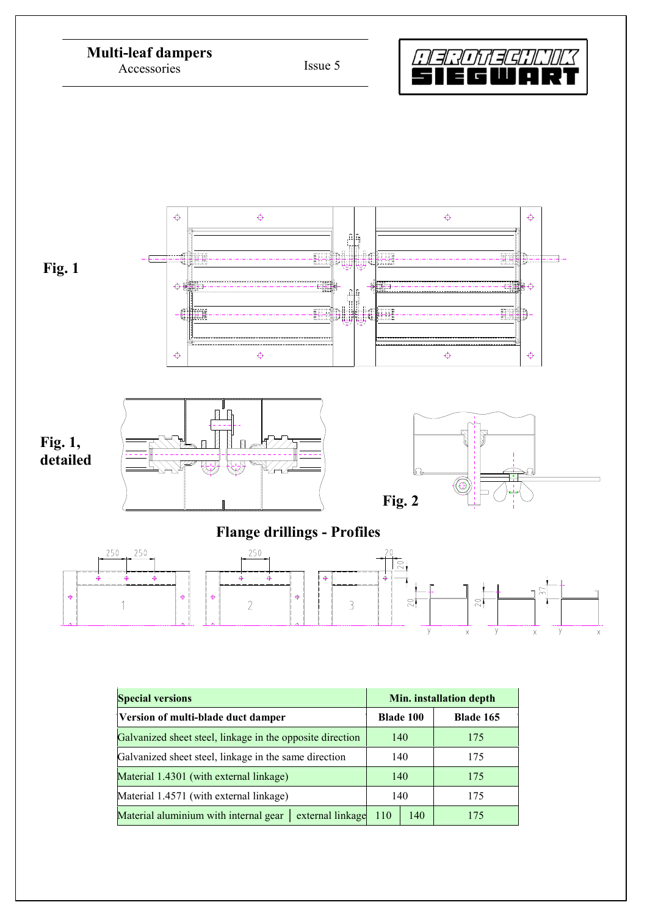

| Galvanized sheet steel, linkage in the opposite direction    | 140 |     | 175 |  |
|--------------------------------------------------------------|-----|-----|-----|--|
| Galvanized sheet steel, linkage in the same direction        | 140 |     | 175 |  |
| Material 1.4301 (with external linkage)                      | 140 |     | 175 |  |
| Material 1.4571 (with external linkage)                      | 140 |     | 175 |  |
| Material aluminium with internal gear   external linkage 110 |     | 140 | 175 |  |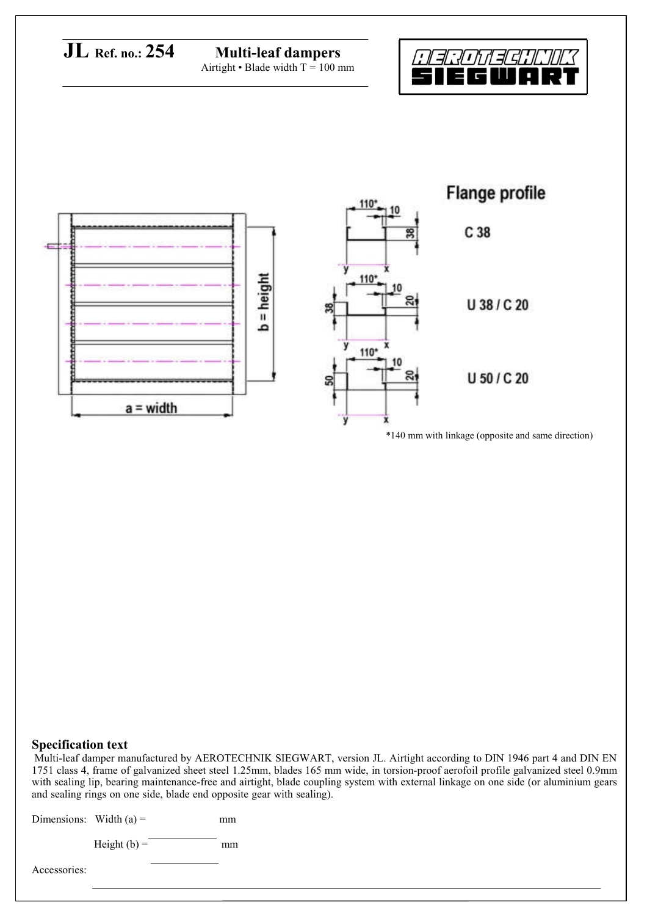

#### **Specification text**

Multi-leaf damper manufactured by AEROTECHNIK SIEGWART, version JL. Airtight according to DIN 1946 part 4 and DIN EN 1751 class 4, frame of galvanized sheet steel 1.25mm, blades 165 mm wide, in torsion-proof aerofoil profile galvanized steel 0.9mm with sealing lip, bearing maintenance-free and airtight, blade coupling system with external linkage on one side (or aluminium gears and sealing rings on one side, blade end opposite gear with sealing).

Dimensions: Width  $(a) =$  mm

Height  $(b)$  = mm

Accessories: